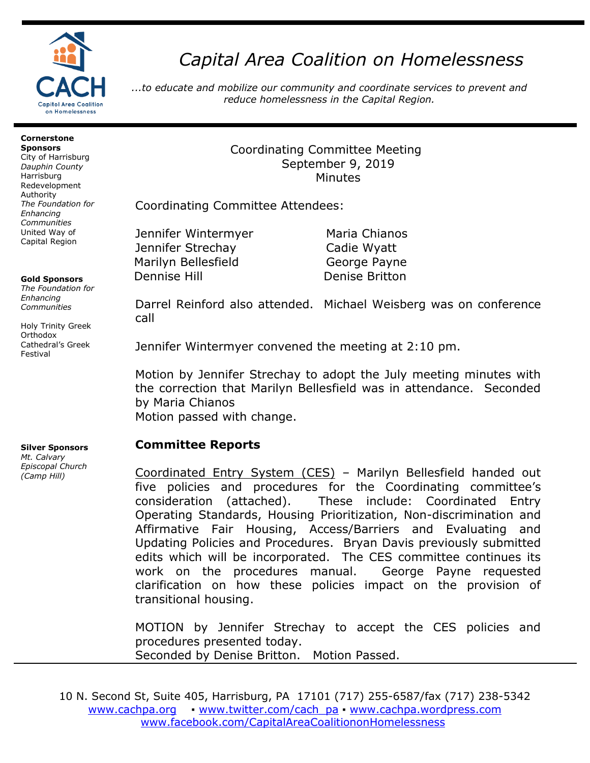

# *Capital Area Coalition on Homelessness*

*...to educate and mobilize our community and coordinate services to prevent and reduce homelessness in the Capital Region.*

#### **Cornerstone Sponsors**

City of Harrisburg *Dauphin County* Harrisburg Redevelopment Authority *The Foundation for Enhancing Communities* United Way of Capital Region

#### **Gold Sponsors**

*The Foundation for Enhancing Communities*

Holy Trinity Greek Orthodox Cathedral's Greek Festival

### **Silver Sponsors**

*Mt. Calvary Episcopal Church (Camp Hill)*

## Coordinating Committee Meeting September 9, 2019 Minutes

Coordinating Committee Attendees:

Jennifer Wintermyer Maria Chianos Jennifer Strechay Cadie Wyatt Marilyn Bellesfield George Payne Dennise Hill **Denise Britton** 

Darrel Reinford also attended. Michael Weisberg was on conference call

Jennifer Wintermyer convened the meeting at 2:10 pm.

Motion by Jennifer Strechay to adopt the July meeting minutes with the correction that Marilyn Bellesfield was in attendance. Seconded by Maria Chianos Motion passed with change.

# **Committee Reports**

Coordinated Entry System (CES) – Marilyn Bellesfield handed out five policies and procedures for the Coordinating committee's consideration (attached). These include: Coordinated Entry Operating Standards, Housing Prioritization, Non-discrimination and Affirmative Fair Housing, Access/Barriers and Evaluating and Updating Policies and Procedures. Bryan Davis previously submitted edits which will be incorporated. The CES committee continues its work on the procedures manual. George Payne requested clarification on how these policies impact on the provision of transitional housing.

MOTION by Jennifer Strechay to accept the CES policies and procedures presented today. Seconded by Denise Britton. Motion Passed.

10 N. Second St, Suite 405, Harrisburg, PA 17101 (717) 255-6587/fax (717) 238-5342 [www.cachpa.org](http://www.cachpa.org/) • [www.twitter.com/cach\\_pa](http://www.twitter.com/cach_pa) • [www.cachpa.wordpress.com](http://www.cachpa.wordpress.com/) [www.facebook.com/CapitalAreaCoalitiononHomelessness](http://www.facebook.com/CapitalAreaCoalitiononHomelessness)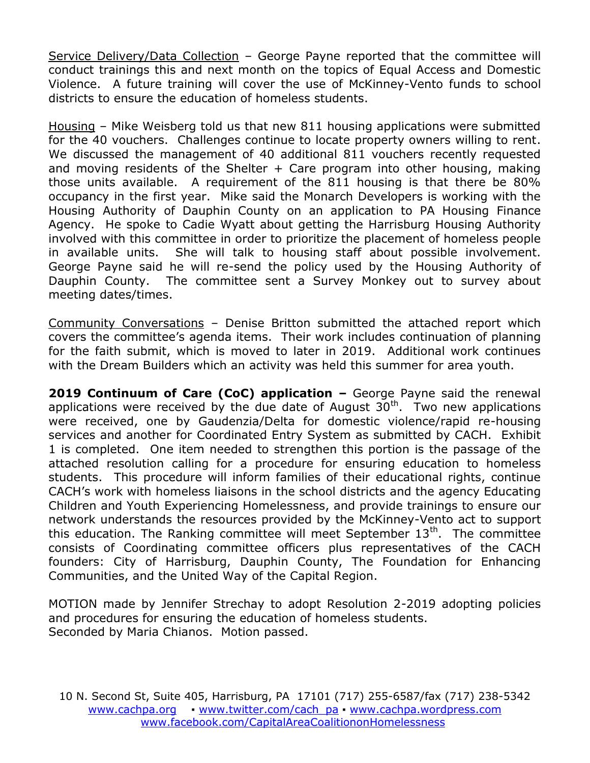Service Delivery/Data Collection - George Payne reported that the committee will conduct trainings this and next month on the topics of Equal Access and Domestic Violence. A future training will cover the use of McKinney-Vento funds to school districts to ensure the education of homeless students.

Housing – Mike Weisberg told us that new 811 housing applications were submitted for the 40 vouchers. Challenges continue to locate property owners willing to rent. We discussed the management of 40 additional 811 vouchers recently requested and moving residents of the Shelter  $+$  Care program into other housing, making those units available. A requirement of the 811 housing is that there be 80% occupancy in the first year. Mike said the Monarch Developers is working with the Housing Authority of Dauphin County on an application to PA Housing Finance Agency. He spoke to Cadie Wyatt about getting the Harrisburg Housing Authority involved with this committee in order to prioritize the placement of homeless people in available units. She will talk to housing staff about possible involvement. George Payne said he will re-send the policy used by the Housing Authority of Dauphin County. The committee sent a Survey Monkey out to survey about meeting dates/times.

Community Conversations – Denise Britton submitted the attached report which covers the committee's agenda items. Their work includes continuation of planning for the faith submit, which is moved to later in 2019. Additional work continues with the Dream Builders which an activity was held this summer for area youth.

**2019 Continuum of Care (CoC) application –** George Payne said the renewal applications were received by the due date of August  $30<sup>th</sup>$ . Two new applications were received, one by Gaudenzia/Delta for domestic violence/rapid re-housing services and another for Coordinated Entry System as submitted by CACH. Exhibit 1 is completed. One item needed to strengthen this portion is the passage of the attached resolution calling for a procedure for ensuring education to homeless students. This procedure will inform families of their educational rights, continue CACH's work with homeless liaisons in the school districts and the agency Educating Children and Youth Experiencing Homelessness, and provide trainings to ensure our network understands the resources provided by the McKinney-Vento act to support this education. The Ranking committee will meet September  $13<sup>th</sup>$ . The committee consists of Coordinating committee officers plus representatives of the CACH founders: City of Harrisburg, Dauphin County, The Foundation for Enhancing Communities, and the United Way of the Capital Region.

MOTION made by Jennifer Strechay to adopt Resolution 2-2019 adopting policies and procedures for ensuring the education of homeless students. Seconded by Maria Chianos. Motion passed.

10 N. Second St, Suite 405, Harrisburg, PA 17101 (717) 255-6587/fax (717) 238-5342 [www.cachpa.org](http://www.cachpa.org/) • [www.twitter.com/cach\\_pa](http://www.twitter.com/cach_pa) • [www.cachpa.wordpress.com](http://www.cachpa.wordpress.com/) [www.facebook.com/CapitalAreaCoalitiononHomelessness](http://www.facebook.com/CapitalAreaCoalitiononHomelessness)